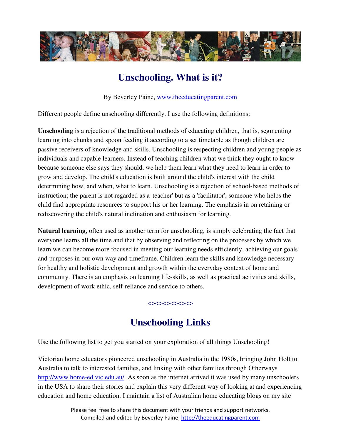

# **Unschooling. What is it?**

By Beverley Paine, www.theeducatingparent.com

Different people define unschooling differently. I use the following definitions:

**Unschooling** is a rejection of the traditional methods of educating children, that is, segmenting learning into chunks and spoon feeding it according to a set timetable as though children are passive receivers of knowledge and skills. Unschooling is respecting children and young people as individuals and capable learners. Instead of teaching children what we think they ought to know because someone else says they should, we help them learn what they need to learn in order to grow and develop. The child's education is built around the child's interest with the child determining how, and when, what to learn. Unschooling is a rejection of school-based methods of instruction; the parent is not regarded as a 'teacher' but as a 'facilitator', someone who helps the child find appropriate resources to support his or her learning. The emphasis in on retaining or rediscovering the child's natural inclination and enthusiasm for learning.

**Natural learning**, often used as another term for unschooling, is simply celebrating the fact that everyone learns all the time and that by observing and reflecting on the processes by which we learn we can become more focused in meeting our learning needs efficiently, achieving our goals and purposes in our own way and timeframe. Children learn the skills and knowledge necessary for healthy and holistic development and growth within the everyday context of home and community. There is an emphasis on learning life-skills, as well as practical activities and skills, development of work ethic, self-reliance and service to others.

### $\left\langle \!\! \left\langle \right. \right\rangle \!\! <\!\! \left\langle \right. \right\rangle \!\! <\!\! \left\langle \right. \right\rangle \!\! <\!\! \left\langle \right. \right\rangle$

# **Unschooling Links**

Use the following list to get you started on your exploration of all things Unschooling!

Victorian home educators pioneered unschooling in Australia in the 1980s, bringing John Holt to Australia to talk to interested families, and linking with other families through Otherways http://www.home-ed.vic.edu.au/. As soon as the internet arrived it was used by many unschoolers in the USA to share their stories and explain this very different way of looking at and experiencing education and home education. I maintain a list of Australian home educating blogs on my site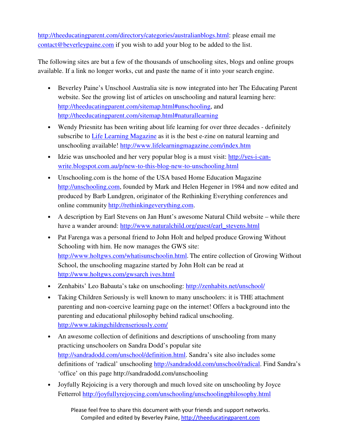http://theeducatingparent.com/directory/categories/australianblogs.html: please email me contact@beverleypaine.com if you wish to add your blog to be added to the list.

The following sites are but a few of the thousands of unschooling sites, blogs and online groups available. If a link no longer works, cut and paste the name of it into your search engine.

- Beverley Paine's Unschool Australia site is now integrated into her The Educating Parent website. See the growing list of articles on unschooling and natural learning here: http://theeducatingparent.com/sitemap.html#unschooling, and http://theeducatingparent.com/sitemap.html#naturallearning
- Wendy Priesnitz has been writing about life learning for over three decades definitely subscribe to Life Learning Magazine as it is the best e-zine on natural learning and unschooling available! http://www.lifelearningmagazine.com/index.htm
- Idzie was unschooled and her very popular blog is a must visit: http://yes-i-canwrite.blogspot.com.au/p/new-to-this-blog-new-to-unschooling.html
- Unschooling.com is the home of the USA based Home Education Magazine http://unschooling.com, founded by Mark and Helen Hegener in 1984 and now edited and produced by Barb Lundgren, originator of the Rethinking Everything conferences and online community http://rethinkingeverything.com.
- A description by Earl Stevens on Jan Hunt's awesome Natural Child website while there have a wander around: http://www.naturalchild.org/guest/earl\_stevens.html
- Pat Farenga was a personal friend to John Holt and helped produce Growing Without Schooling with him. He now manages the GWS site: http://www.holtgws.com/whatisunschoolin.html. The entire collection of Growing Without School, the unschooling magazine started by John Holt can be read at http://www.holtgws.com/gwsarch ives.html
- Zenhabits' Leo Babauta's take on unschooling: http://zenhabits.net/unschool/
- Taking Children Seriously is well known to many unschoolers: it is THE attachment parenting and non-coercive learning page on the internet! Offers a background into the parenting and educational philosophy behind radical unschooling. http://www.takingchildrenseriously.com/
- An awesome collection of definitions and descriptions of unschooling from many practicing unschoolers on Sandra Dodd's popular site http://sandradodd.com/unschool/definition.html. Sandra's site also includes some definitions of 'radical' unschooling http://sandradodd.com/unschool/radical. Find Sandra's 'office' on this page http://sandradodd.com/unschooling
- Joyfully Rejoicing is a very thorough and much loved site on unschooling by Joyce Fetterrol http://joyfullyrejoycing.com/unschooling/unschoolingphilosophy.html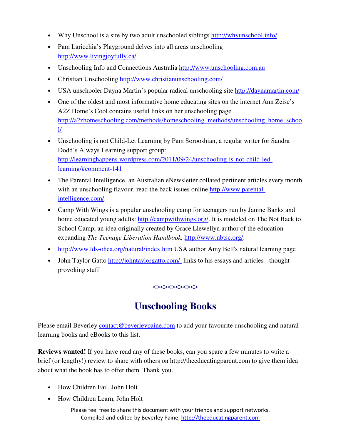- Why Unschool is a site by two adult unschooled siblings http://whyunschool.info/
- Pam Laricchia's Playground delves into all areas unschooling http://www.livingjoyfully.ca/
- Unschooling Info and Connections Australia http://www.unschooling.com.au
- Christian Unschooling http://www.christianunschooling.com/
- USA unschooler Dayna Martin's popular radical unschooling site http://daynamartin.com/
- One of the oldest and most informative home educating sites on the internet Ann Zeise's A2Z Home's Cool contains useful links on her unschooling page http://a2zhomeschooling.com/methods/homeschooling\_methods/unschooling\_home\_schoo  $\frac{1}{2}$
- Unschooling is not Child-Let Learning by Pam Sorooshian, a regular writer for Sandra Dodd's Always Learning support group: http://learninghappens.wordpress.com/2011/09/24/unschooling-is-not-child-ledlearning/#comment-141
- The Parental Intelligence, an Australian eNewsletter collated pertinent articles every month with an unschooling flavour, read the back issues online http://www.parentalintelligence.com/.
- Camp With Wings is a popular unschooling camp for teenagers run by Janine Banks and home educated young adults: http://campwithwings.org/. It is modeled on The Not Back to School Camp, an idea originally created by Grace Llewellyn author of the educationexpanding *The Teenage Liberation Handbook,* http://www.nbtsc.org/.
- http://www.lds-ohea.org/natural/index.htm USA author Amy Bell's natural learning page
- John Taylor Gatto http://johntaylorgatto.com/ links to his essays and articles thought provoking stuff

#### $\Leftrightarrow$

## **Unschooling Books**

Please email Beverley contact@beverleypaine.com to add your favourite unschooling and natural learning books and eBooks to this list.

**Reviews wanted!** If you have read any of these books, can you spare a few minutes to write a brief (or lengthy!) review to share with others on http://theeducatingparent.com to give them idea about what the book has to offer them. Thank you.

- How Children Fail, John Holt
- How Children Learn, John Holt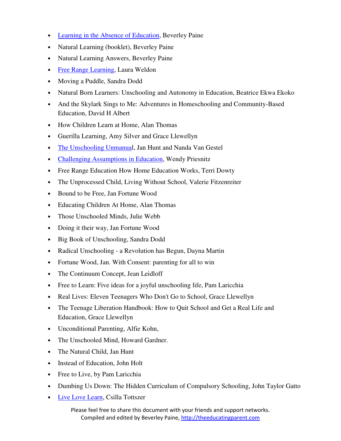- Learning in the Absence of Education, Beverley Paine
- Natural Learning (booklet), Beverley Paine
- Natural Learning Answers, Beverley Paine
- Free Range Learning, Laura Weldon
- Moving a Puddle, Sandra Dodd
- Natural Born Learners: Unschooling and Autonomy in Education, Beatrice Ekwa Ekoko
- And the Skylark Sings to Me: Adventures in Homeschooling and Community-Based Education, David H Albert
- How Children Learn at Home, Alan Thomas
- Guerilla Learning, Amy Silver and Grace Llewellyn
- The Unschooling Unmanual, Jan Hunt and Nanda Van Gestel
- Challenging Assumptions in Education, Wendy Priesnitz
- Free Range Education How Home Education Works, Terri Dowty
- The Unprocessed Child, Living Without School, Valerie Fitzenreiter
- Bound to be Free, Jan Fortune Wood
- Educating Children At Home, Alan Thomas
- Those Unschooled Minds, Julie Webb
- Doing it their way, Jan Fortune Wood
- Big Book of Unschooling, Sandra Dodd
- Radical Unschooling a Revolution has Begun, Dayna Martin
- Fortune Wood, Jan. With Consent: parenting for all to win
- The Continuum Concept, Jean Leidloff
- Free to Learn: Five ideas for a joyful unschooling life, Pam Laricchia
- Real Lives: Eleven Teenagers Who Don't Go to School, Grace Llewellyn
- The Teenage Liberation Handbook: How to Quit School and Get a Real Life and Education, Grace Llewellyn
- Unconditional Parenting, Alfie Kohn,
- The Unschooled Mind, Howard Gardner.
- The Natural Child, Jan Hunt
- Instead of Education, John Holt
- Free to Live, by Pam Laricchia
- Dumbing Us Down: The Hidden Curriculum of Compulsory Schooling, John Taylor Gatto
- Live Love Learn, Csilla Tottszer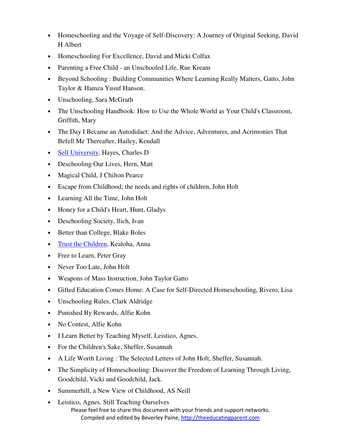- Homeschooling and the Voyage of Self-Discovery: A Journey of Original Seeking, David H Albert
- Homeschooling For Excellence, David and Micki Colfax
- Parenting a Free Child an Unschooled Life, Rue Kream
- Beyond Schooling : Building Communities Where Learning Really Matters, Gatto, John Taylor & Hamza Yusuf Hanson.
- Unschooling, Sara McGrath
- The Unschooling Handbook: How to Use the Whole World as Your Child's Classroom, Griffith, Mary
- The Day I Became an Autodidact: And the Advice, Adventures, and Acrimonies That Befell Me Thereafter, Hailey, Kendall
- Self University, Hayes, Charles D
- Deschooling Our Lives, Hern, Matt
- Magical Child, J Chilton Pearce
- Escape from Childhood; the needs and rights of children, John Holt
- Learning All the Time, John Holt
- Honey for a Child's Heart, Hunt, Gladys
- Deschooling Society, Ilich, Ivan
- Better than College, Blake Boles
- Trust the Children, Kealoha, Anna
- Free to Learn, Peter Gray
- Never Too Late, John Holt
- Weapons of Mass Instruction, John Taylor Gatto
- Gifted Education Comes Home: A Case for Self-Directed Homeschooling, Rivero, Lisa
- Unschooling Rules, Clark Aldridge
- Punished By Rewards, Alfie Kohn
- No Contest, Alfie Kohn
- I Learn Better by Teaching Myself, Leistico, Agnes.
- For the Children's Sake, Sheffer, Susannah
- A Life Worth Living : The Selected Letters of John Holt, Sheffer, Susannah.
- The Simplicity of Homeschooling: Discover the Freedom of Learning Through Living, Goodchild, Vicki and Goodchild, Jack.
- Summerhill, a New View of Childhood, AS Neill
- Please feel free to share this document with your friends and support networks. Compiled and edited by Beverley Paine, http://theeducatingparent.com • Leistico, Agnes. Still Teaching Ourselves